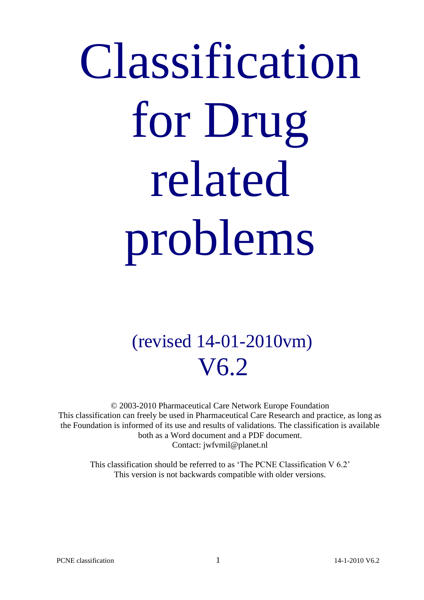# Classification for Drug related problems

# (revised 14-01-2010vm) V6.2

© 2003-2010 Pharmaceutical Care Network Europe Foundation This classification can freely be used in Pharmaceutical Care Research and practice, as long as the Foundation is informed of its use and results of validations. The classification is available both as a Word document and a PDF document. Contact: jwfvmil@planet.nl

This classification should be referred to as 'The PCNE Classification V 6.2' This version is not backwards compatible with older versions.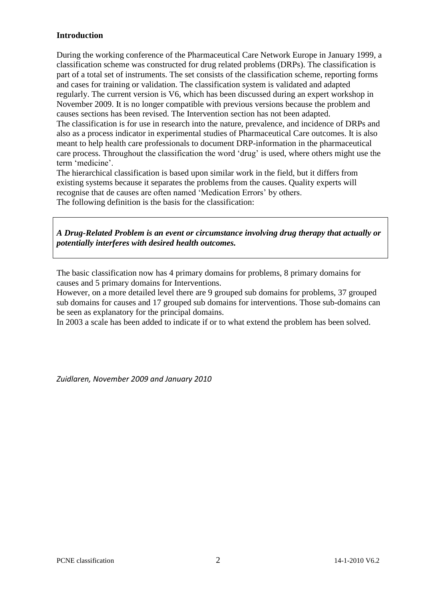#### **Introduction**

During the working conference of the Pharmaceutical Care Network Europe in January 1999, a classification scheme was constructed for drug related problems (DRPs). The classification is part of a total set of instruments. The set consists of the classification scheme, reporting forms and cases for training or validation. The classification system is validated and adapted regularly. The current version is V6, which has been discussed during an expert workshop in November 2009. It is no longer compatible with previous versions because the problem and causes sections has been revised. The Intervention section has not been adapted. The classification is for use in research into the nature, prevalence, and incidence of DRPs and also as a process indicator in experimental studies of Pharmaceutical Care outcomes. It is also meant to help health care professionals to document DRP-information in the pharmaceutical care process. Throughout the classification the word 'drug' is used, where others might use the term 'medicine'.

The hierarchical classification is based upon similar work in the field, but it differs from existing systems because it separates the problems from the causes. Quality experts will recognise that de causes are often named 'Medication Errors' by others. The following definition is the basis for the classification:

*A Drug-Related Problem is an event or circumstance involving drug therapy that actually or potentially interferes with desired health outcomes.*

The basic classification now has 4 primary domains for problems, 8 primary domains for causes and 5 primary domains for Interventions.

However, on a more detailed level there are 9 grouped sub domains for problems, 37 grouped sub domains for causes and 17 grouped sub domains for interventions. Those sub-domains can be seen as explanatory for the principal domains.

In 2003 a scale has been added to indicate if or to what extend the problem has been solved.

*Zuidlaren, November 2009 and January 2010*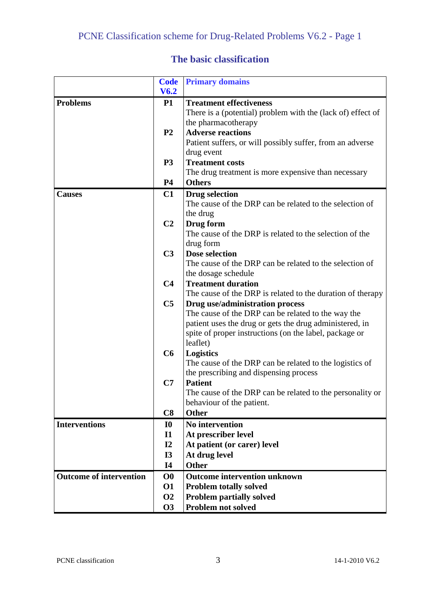# **The basic classification**

|                                | <b>Code</b>               | <b>Primary domains</b>                                               |
|--------------------------------|---------------------------|----------------------------------------------------------------------|
|                                | V6.2                      |                                                                      |
| <b>Problems</b>                | <b>P1</b>                 | <b>Treatment effectiveness</b>                                       |
|                                |                           | There is a (potential) problem with the (lack of) effect of          |
|                                |                           | the pharmacotherapy                                                  |
|                                | P <sub>2</sub>            | <b>Adverse reactions</b>                                             |
|                                |                           | Patient suffers, or will possibly suffer, from an adverse            |
|                                |                           | drug event                                                           |
|                                | <b>P3</b>                 | <b>Treatment costs</b>                                               |
|                                |                           | The drug treatment is more expensive than necessary                  |
|                                | <b>P4</b>                 | <b>Others</b>                                                        |
| <b>Causes</b>                  | C1                        | <b>Drug selection</b>                                                |
|                                |                           | The cause of the DRP can be related to the selection of              |
|                                |                           | the drug                                                             |
|                                | C <sub>2</sub>            | Drug form                                                            |
|                                |                           | The cause of the DRP is related to the selection of the<br>drug form |
|                                | C <sub>3</sub>            | <b>Dose selection</b>                                                |
|                                |                           | The cause of the DRP can be related to the selection of              |
|                                |                           | the dosage schedule                                                  |
|                                | C <sub>4</sub>            | <b>Treatment duration</b>                                            |
|                                |                           | The cause of the DRP is related to the duration of therapy           |
|                                | C <sub>5</sub>            | Drug use/administration process                                      |
|                                |                           | The cause of the DRP can be related to the way the                   |
|                                |                           | patient uses the drug or gets the drug administered, in              |
|                                |                           | spite of proper instructions (on the label, package or               |
|                                |                           | leaflet)                                                             |
|                                | C6                        | <b>Logistics</b>                                                     |
|                                |                           | The cause of the DRP can be related to the logistics of              |
|                                |                           | the prescribing and dispensing process                               |
|                                | C7                        | <b>Patient</b>                                                       |
|                                |                           | The cause of the DRP can be related to the personality or            |
|                                | C8                        | behaviour of the patient.<br><b>Other</b>                            |
| <b>Interventions</b>           |                           | No intervention                                                      |
|                                | <b>I0</b><br>$\mathbf{I}$ | At prescriber level                                                  |
|                                | I2                        | At patient (or carer) level                                          |
|                                | <b>I3</b>                 | At drug level                                                        |
|                                | <b>I4</b>                 | <b>Other</b>                                                         |
| <b>Outcome of intervention</b> | $\bf{O}0$                 | <b>Outcome intervention unknown</b>                                  |
|                                | <b>O1</b>                 | <b>Problem totally solved</b>                                        |
|                                | <b>O2</b>                 | <b>Problem partially solved</b>                                      |
|                                | <b>O3</b>                 | Problem not solved                                                   |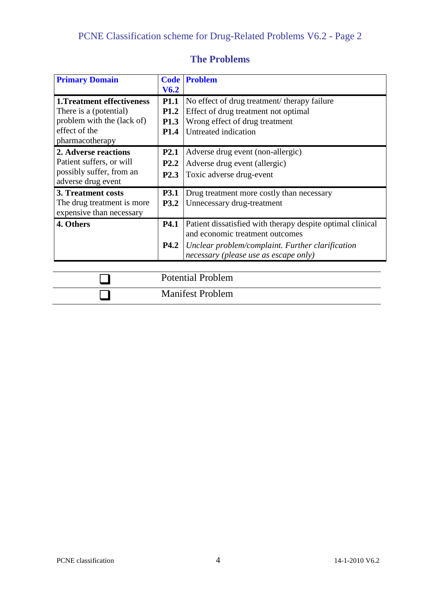| <b>Primary Domain</b>             |                  | <b>Code Problem</b>                                        |
|-----------------------------------|------------------|------------------------------------------------------------|
|                                   | V <sub>6.2</sub> |                                                            |
| <b>1. Treatment effectiveness</b> | <b>P1.1</b>      | No effect of drug treatment/ therapy failure               |
| There is a (potential)            | <b>P1.2</b>      | Effect of drug treatment not optimal                       |
| problem with the (lack of)        | <b>P1.3</b>      | Wrong effect of drug treatment                             |
| effect of the                     | <b>P1.4</b>      | Untreated indication                                       |
| pharmacotherapy                   |                  |                                                            |
| 2. Adverse reactions              | <b>P2.1</b>      | Adverse drug event (non-allergic)                          |
| Patient suffers, or will          | P <sub>2.2</sub> | Adverse drug event (allergic)                              |
| possibly suffer, from an          | <b>P2.3</b>      | Toxic adverse drug-event                                   |
| adverse drug event                |                  |                                                            |
| 3. Treatment costs                | <b>P3.1</b>      | Drug treatment more costly than necessary                  |
| The drug treatment is more        | <b>P3.2</b>      | Unnecessary drug-treatment                                 |
| expensive than necessary          |                  |                                                            |
| 4. Others                         | <b>P4.1</b>      | Patient dissatisfied with therapy despite optimal clinical |
|                                   |                  | and economic treatment outcomes                            |
|                                   | <b>P4.2</b>      | Unclear problem/complaint. Further clarification           |
|                                   |                  | necessary (please use as escape only)                      |
|                                   |                  |                                                            |
|                                   |                  | <b>Potential Problem</b>                                   |
|                                   |                  |                                                            |

Manifest Problem

# **The Problems**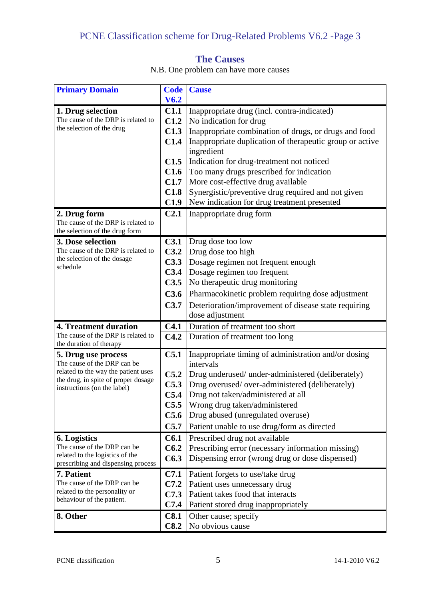# PCNE Classification scheme for Drug-Related Problems V6.2 -Page 3

### **The Causes**

N.B. One problem can have more causes

| <b>Primary Domain</b>                                             | <b>Code</b>      | <b>Cause</b>                                             |
|-------------------------------------------------------------------|------------------|----------------------------------------------------------|
|                                                                   | V <sub>6.2</sub> |                                                          |
| 1. Drug selection                                                 | C1.1             | Inappropriate drug (incl. contra-indicated)              |
| The cause of the DRP is related to                                | C1.2             | No indication for drug                                   |
| the selection of the drug                                         | C1.3             | Inappropriate combination of drugs, or drugs and food    |
|                                                                   | C1.4             | Inappropriate duplication of therapeutic group or active |
|                                                                   |                  | ingredient                                               |
|                                                                   | C1.5             | Indication for drug-treatment not noticed                |
|                                                                   | C1.6             | Too many drugs prescribed for indication                 |
|                                                                   | C1.7             | More cost-effective drug available                       |
|                                                                   | C1.8             | Synergistic/preventive drug required and not given       |
|                                                                   | C1.9             | New indication for drug treatment presented              |
| 2. Drug form                                                      | C <sub>2.1</sub> | Inappropriate drug form                                  |
| The cause of the DRP is related to                                |                  |                                                          |
| the selection of the drug form                                    |                  |                                                          |
| 3. Dose selection                                                 | C3.1             | Drug dose too low                                        |
| The cause of the DRP is related to<br>the selection of the dosage | C3.2             | Drug dose too high                                       |
| schedule                                                          | C3.3             | Dosage regimen not frequent enough                       |
|                                                                   | C3.4             | Dosage regimen too frequent                              |
|                                                                   | C3.5             | No therapeutic drug monitoring                           |
|                                                                   | C3.6             | Pharmacokinetic problem requiring dose adjustment        |
|                                                                   | C3.7             | Deterioration/improvement of disease state requiring     |
|                                                                   |                  | dose adjustment                                          |
| 4. Treatment duration                                             | C4.1             | Duration of treatment too short                          |
| The cause of the DRP is related to<br>the duration of therapy     | C4.2             | Duration of treatment too long                           |
| 5. Drug use process<br>The cause of the DRP can be                | C <sub>5.1</sub> | Inappropriate timing of administration and/or dosing     |
| related to the way the patient uses                               |                  | intervals                                                |
| the drug, in spite of proper dosage                               | C5.2             | Drug underused/ under-administered (deliberately)        |
| instructions (on the label)                                       | C5.3             | Drug overused/over-administered (deliberately)           |
|                                                                   | C5.4             | Drug not taken/administered at all                       |
|                                                                   | C5.5             | Wrong drug taken/administered                            |
|                                                                   | C5.6             | Drug abused (unregulated overuse)                        |
|                                                                   | C5.7             | Patient unable to use drug/form as directed              |
| 6. Logistics<br>The cause of the DRP can be                       | C6.1             | Prescribed drug not available                            |
| related to the logistics of the                                   | C6.2             | Prescribing error (necessary information missing)        |
| prescribing and dispensing process                                | C6.3             | Dispensing error (wrong drug or dose dispensed)          |
| 7. Patient                                                        | C7.1             | Patient forgets to use/take drug                         |
| The cause of the DRP can be                                       | C7.2             | Patient uses unnecessary drug                            |
| related to the personality or                                     | C7.3             | Patient takes food that interacts                        |
| behaviour of the patient.                                         | C7.4             | Patient stored drug inappropriately                      |
| 8. Other                                                          | C8.1             | Other cause; specify                                     |
|                                                                   | C8.2             | No obvious cause                                         |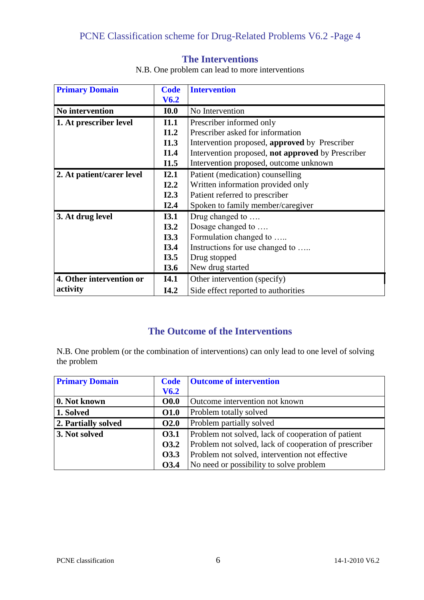| <b>Primary Domain</b>     | <b>Code</b>      | <b>Intervention</b>                               |
|---------------------------|------------------|---------------------------------------------------|
|                           | V <sub>6.2</sub> |                                                   |
| No intervention           | <b>IO.0</b>      | No Intervention                                   |
| 1. At prescriber level    | I1.1             | Prescriber informed only                          |
|                           | I1.2             | Prescriber asked for information                  |
|                           | II.3             | Intervention proposed, approved by Prescriber     |
|                           | I1.4             | Intervention proposed, not approved by Prescriber |
|                           | I1.5             | Intervention proposed, outcome unknown            |
| 2. At patient/carer level | I2.1             | Patient (medication) counselling                  |
|                           | I2.2             | Written information provided only                 |
|                           | I2.3             | Patient referred to prescriber                    |
|                           | I2.4             | Spoken to family member/caregiver                 |
| 3. At drug level          | I3.1             | Drug changed to                                   |
|                           | I3.2             | Dosage changed to                                 |
|                           | I3.3             | Formulation changed to                            |
|                           | I3.4             | Instructions for use changed to                   |
|                           | I3.5             | Drug stopped                                      |
|                           | <b>I3.6</b>      | New drug started                                  |
| 4. Other intervention or  | <b>I4.1</b>      | Other intervention (specify)                      |
| activity                  | I4.2             | Side effect reported to authorities               |

**The Interventions**

N.B. One problem can lead to more interventions

# **The Outcome of the Interventions**

N.B. One problem (or the combination of interventions) can only lead to one level of solving the problem

| <b>Primary Domain</b> | <b>Code</b>      | <b>Outcome of intervention</b>                        |
|-----------------------|------------------|-------------------------------------------------------|
|                       | V <sub>6.2</sub> |                                                       |
| 0. Not known          | $\bf{O}0.0$      | Outcome intervention not known                        |
| 1. Solved             | <b>O1.0</b>      | Problem totally solved                                |
| 2. Partially solved   | <b>O2.0</b>      | Problem partially solved                              |
| 3. Not solved         | <b>O3.1</b>      | Problem not solved, lack of cooperation of patient    |
|                       | <b>O3.2</b>      | Problem not solved, lack of cooperation of prescriber |
|                       | 03.3             | Problem not solved, intervention not effective        |
|                       | <b>O3.4</b>      | No need or possibility to solve problem               |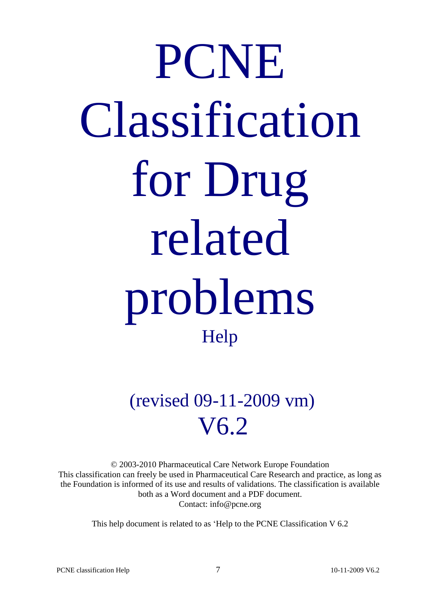# PCNE Classification for Drug related problems Help

(revised 09-11-2009 vm) V6.2

© 2003-2010 Pharmaceutical Care Network Europe Foundation This classification can freely be used in Pharmaceutical Care Research and practice, as long as the Foundation is informed of its use and results of validations. The classification is available both as a Word document and a PDF document. Contact: info@pcne.org

This help document is related to as 'Help to the PCNE Classification V 6.2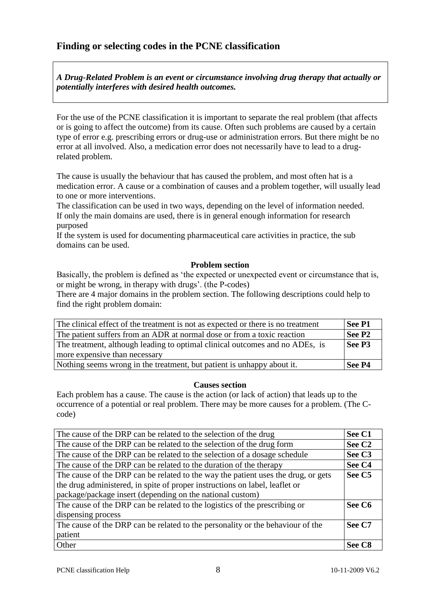### **Finding or selecting codes in the PCNE classification**

*A Drug-Related Problem is an event or circumstance involving drug therapy that actually or potentially interferes with desired health outcomes.*

For the use of the PCNE classification it is important to separate the real problem (that affects or is going to affect the outcome) from its cause. Often such problems are caused by a certain type of error e.g. prescribing errors or drug-use or administration errors. But there might be no error at all involved. Also, a medication error does not necessarily have to lead to a drugrelated problem.

The cause is usually the behaviour that has caused the problem, and most often hat is a medication error. A cause or a combination of causes and a problem together, will usually lead to one or more interventions.

The classification can be used in two ways, depending on the level of information needed. If only the main domains are used, there is in general enough information for research purposed

If the system is used for documenting pharmaceutical care activities in practice, the sub domains can be used.

#### **Problem section**

Basically, the problem is defined as 'the expected or unexpected event or circumstance that is, or might be wrong, in therapy with drugs'. (the P-codes)

There are 4 major domains in the problem section. The following descriptions could help to find the right problem domain:

| The clinical effect of the treatment is not as expected or there is no treatment | See P1             |
|----------------------------------------------------------------------------------|--------------------|
| The patient suffers from an ADR at normal dose or from a toxic reaction          | See P <sub>2</sub> |
| The treatment, although leading to optimal clinical outcomes and no ADEs, is     | See P3             |
| more expensive than necessary                                                    |                    |
| Nothing seems wrong in the treatment, but patient is unhappy about it.           | See P4             |

#### **Causes section**

Each problem has a cause. The cause is the action (or lack of action) that leads up to the occurrence of a potential or real problem. There may be more causes for a problem. (The Ccode)

| The cause of the DRP can be related to the selection of the drug                  |                    |  |
|-----------------------------------------------------------------------------------|--------------------|--|
| The cause of the DRP can be related to the selection of the drug form             | See C <sub>2</sub> |  |
| The cause of the DRP can be related to the selection of a dosage schedule         | See C <sub>3</sub> |  |
| The cause of the DRP can be related to the duration of the therapy                |                    |  |
| The cause of the DRP can be related to the way the patient uses the drug, or gets | See C5             |  |
| the drug administered, in spite of proper instructions on label, leaflet or       |                    |  |
| package/package insert (depending on the national custom)                         |                    |  |
| The cause of the DRP can be related to the logistics of the prescribing or        |                    |  |
| dispensing process                                                                |                    |  |
| The cause of the DRP can be related to the personality or the behaviour of the    |                    |  |
| patient                                                                           |                    |  |
| Other                                                                             | See C <sub>8</sub> |  |